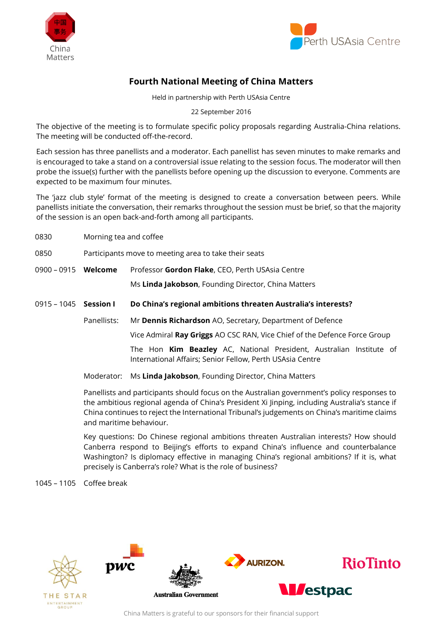



## **Fourth National Meeting of China Matters**

Held in partnership with Perth USAsia Centre

22 September 2016

The objective of the meeting is to formulate specific policy proposals regarding Australia-China relations. The meeting will be conducted off-the-record.

Each session has three panellists and a moderator. Each panellist has seven minutes to make remarks and is encouraged to take a stand on a controversial issue relating to the session focus. The moderator will then probe the issue(s) further with the panellists before opening up the discussion to everyone. Comments are expected to be maximum four minutes.

The 'jazz club style' format of the meeting is designed to create a conversation between peers. While panellists initiate the conversation, their remarks throughout the session must be brief, so that the majority of the session is an open back-and-forth among all participants.

- 0830 Morning tea and coffee
- 0850 Participants move to meeting area to take their seats
- 0900 0915 **Welcome** Professor **Gordon Flake**, CEO, Perth USAsia Centre

Ms **Linda Jakobson**, Founding Director, China Matters

- 0915 1045 **Session I Do China's regional ambitions threaten Australia's interests?**
	- Panellists: Mr **Dennis Richardson** AO, Secretary, Department of Defence

Vice Admiral **Ray Griggs** AO CSC RAN, Vice Chief of the Defence Force Group

The Hon **Kim Beazley** AC, National President, Australian Institute of International Affairs; Senior Fellow, Perth USAsia Centre

Moderator: Ms **Linda Jakobson**, Founding Director, China Matters

Panellists and participants should focus on the Australian government's policy responses to the ambitious regional agenda of China's President Xi Jinping, including Australia's stance if China continues to reject the International Tribunal's judgements on China's maritime claims and maritime behaviour.

Key questions: Do Chinese regional ambitions threaten Australian interests? How should Canberra respond to Beijing's efforts to expand China's influence and counterbalance Washington? Is diplomacy effective in managing China's regional ambitions? If it is, what precisely is Canberra's role? What is the role of business?

1045 – 1105 Coffee break



China Matters is grateful to our sponsors for their financial support